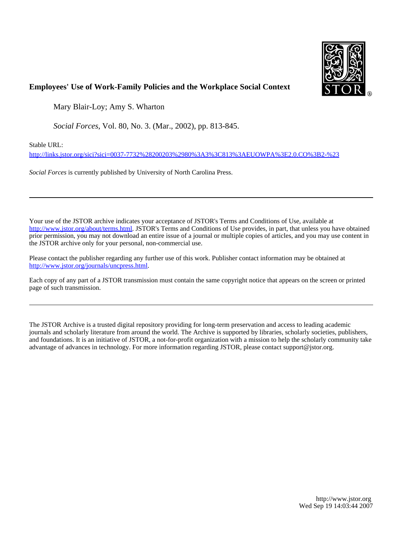

# **Employees' Use of Work-Family Policies and the Workplace Social Context**

Mary Blair-Loy; Amy S. Wharton

*Social Forces*, Vol. 80, No. 3. (Mar., 2002), pp. 813-845.

Stable URL:

<http://links.jstor.org/sici?sici=0037-7732%28200203%2980%3A3%3C813%3AEUOWPA%3E2.0.CO%3B2-%23>

*Social Forces* is currently published by University of North Carolina Press.

Your use of the JSTOR archive indicates your acceptance of JSTOR's Terms and Conditions of Use, available at [http://www.jstor.org/about/terms.html.](http://www.jstor.org/about/terms.html) JSTOR's Terms and Conditions of Use provides, in part, that unless you have obtained prior permission, you may not download an entire issue of a journal or multiple copies of articles, and you may use content in the JSTOR archive only for your personal, non-commercial use.

Please contact the publisher regarding any further use of this work. Publisher contact information may be obtained at <http://www.jstor.org/journals/uncpress.html>.

Each copy of any part of a JSTOR transmission must contain the same copyright notice that appears on the screen or printed page of such transmission.

The JSTOR Archive is a trusted digital repository providing for long-term preservation and access to leading academic journals and scholarly literature from around the world. The Archive is supported by libraries, scholarly societies, publishers, and foundations. It is an initiative of JSTOR, a not-for-profit organization with a mission to help the scholarly community take advantage of advances in technology. For more information regarding JSTOR, please contact support@jstor.org.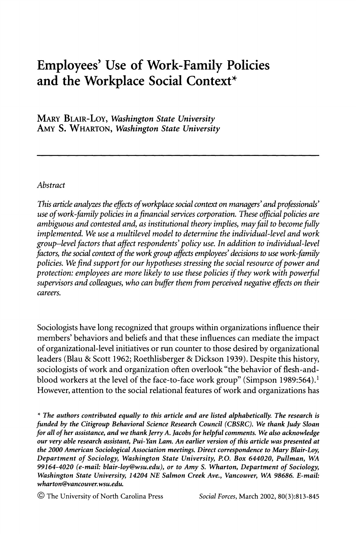# **Employees' Use of Work-Family Policies and the Workplace Social Context\***

*MARY* **BLAIR-LOY,** *Washington State University*  **AMYS. WHARTON,** *Washington State University* 

### *Abstract*

*This article analyzes the effects of workplace social context on managers' and profesionals'*  use of work-family policies in a financial services corporation. These official policies are *ambiguous and contested and, as institutional theory implies, may fail to become fully implemented. We use a multilevel model to determine the individual-level and work group-level factors that affect respondents' policy use. In addition to individual-level factors, the social context of the work group affects employees' decisions to use work-family*  policies. We find support for our hypotheses stressing the social resource of power and *protection: employees are more likely to use these policies if they work with powerful supervisors and colleagues, who can buffer them from perceived negative effects on their careers.* 

Sociologists have long recognized that groups within organizations influence their members' behaviors and beliefs and that these influences can mediate the impact of organizational-level initiatives or run counter to those desired by organizational leaders (Blau & Scott 1962; Roethlisberger & Dickson 1939). Despite this history, sociologists of work and organization often overlook "the behavior of flesh-andblood workers at the level of the face-to-face work group" (Simpson 1989:564).<sup>1</sup> However, attention to the social relational features of work and organizations has

\* *The authors contributed equally to this article and are listed alphabetically. The research is funded by the Citigroup Behavioral Science Research Council (CBSRC). We thank Judy Sloan for all of her assistance, and we thank Jerry A. Jacobs for helpful comments. We also acknowledge our very able research assistant, Pui-Yan Lam. An earlier version of this article was presented at the* 2000 *American Sociological Association meetings. Direct correspondence to Mary Blair-Loy, Department of Sociology, Washington State University, P.O. Box* 644020, *Pullman, WA*  99164-4020 *(e-mail: blair-loy@wsu.edu), or to Amy S. Wharton, Department of Sociology, Washington State University,* 14204 *NE Salmon Creek Ave., Vancouver, WA* 98686. *E-mail:* 

@ The University of North Carolina Press *Social Forces,* March 2002, 80(3):813-845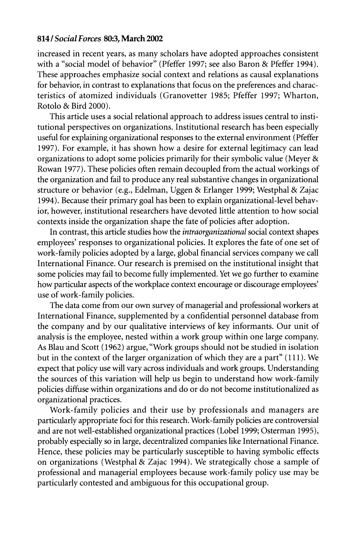### *814* 1*Social Forces* **80:3,** *March* **2002**

increased in recent years, as many scholars have adopted approaches consistent with a "social model of behavior" (Pfeffer 1997; see also Baron & Pfeffer 1994). These approaches emphasize social context and relations as causal explanations for behavior, in contrast to explanations that focus on the preferences and characteristics of atomized individuals (Granovetter 1985; Pfeffer 1997; Wharton, Rotolo & Bird 2000).

This article uses a social relational approach to address issues central to institutional perspectives on organizations. Institutional research has been especially useful for explaining organizational responses to the external environment (Pfeffer 1997). For example, it has shown how a desire for external legitimacy can lead organizations to adopt some policies primarily for their symbolic value (Meyer & Rowan 1977). These policies often remain decoupled from the actual workings of the organization and fail to produce any real substantive changes in organizational structure or behavior (e.g., Edelman, Uggen & Erlanger 1999; Westphal & Zajac 1994). Because their primary goal has been to explain organizational-level behavior, however, institutional researchers have devoted little attention to how social contexts inside the organization shape the fate of policies after adoption.

In contrast, this article studies how the *intraorganizational* social context shapes employees' responses to organizational policies. It explores the fate of one set of work-family policies adopted by a large, global financial services company we call International Finance. Our research is premised on the institutional insight that some policies may fail to become fully implemented. Yet we go further to examine how particular aspects of the workplace context encourage or discourage employees' use of work-family policies.

The data come from our own survey of managerial and professional workers at International Finance, supplemented by a confidential personnel database from the company and by our qualitative interviews of key informants. Our unit of analysis is the employee, nested within a work group within one large company. As Blau and Scott (1962) argue, "Work groups should not be studied in isolation but in the context of the larger organization of which they are a part" (111). We expect that policy use will vary across individuals and work groups. Understanding the sources of this variation will help us begin to understand how work-family policies diffuse within organizations and do or do not become institutionalized as organizational practices.

Work-family policies and their use by professionals and managers are particularly appropriate foci for this research. Work-family policies are controversial and are not well-established organizational practices (Lobe1 1999; Osterman 1995), probably especially so in large, decentralized companies like International Finance. Hence, these policies may be particularly susceptible to having symbolic effects on organizations (Westphal & Zajac 1994). We strategically chose a sample of professional and managerial employees because work-family policy use may be particularly contested and ambiguous for this occupational group.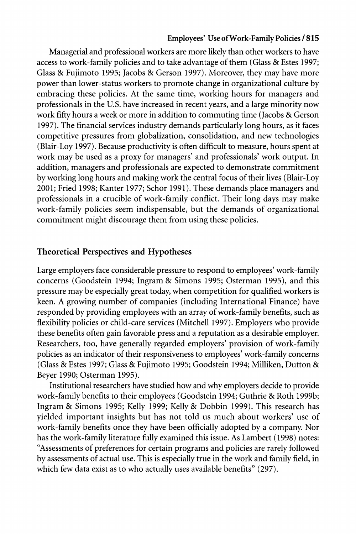Managerial and professional workers are more likely than other workers to have access to work-family policies and to take advantage of them (Glass & Estes 1997; Glass & Fujimoto 1995; Jacobs & Gerson 1997). Moreover, they may have more power than lower-status workers to promote change in organizational culture by embracing these policies. At the same time, working hours for managers and professionals in the U.S. have increased in recent years, and a large minority now work fifty hours a week or more in addition to commuting time (Jacobs & Gerson 1997). The financial services industry demands particularly long hours, as it faces competitive pressures from globalization, consolidation, and new technologies (Blair-Loy 1997). Because productivity is often difficult to measure, hours spent at work may be used as a proxy for managers' and professionals' work output. In addition, managers and professionals are expected to demonstrate commitment by working long hours and making work the central focus of their lives (Blair-Loy 2001; Fried 1998; Kanter 1977; Schor 1991). These demands place managers and professionals in a crucible of work-family conflict. Their long days may make work-family policies seem indispensable, but the demands of organizational commitment might discourage them from using these policies.

### **Theoretical Perspectives and Hypotheses**

Large employers face considerable pressure to respond to employees' work-family concerns (Goodstein 1994; Ingram & Simons 1995; Osterman 1995), and this pressure may be especially great today, when competition for qualified workers is keen. A growing number of companies (including International Finance) have responded by providing employees with an array of work-family benefits, such as flexibility policies or child-care services (Mitchell 1997). Employers who provide these benefits often gain favorable press and a reputation as a desirable employer. Researchers, too, have generally regarded employers' provision of work-family policies as an indicator of their responsiveness to employees' work-family concerns (Glass& Estes 1997; Glass & Fujimoto 1995; Goodstein 1994; Milliken, Dutton & Beyer 1990; Osterman 1995).

Institutional researchers have studied how and why employers decide to provide work-family benefits to their employees (Goodstein 1994; Guthrie & Roth 1999b; Ingram & Simons 1995; Kelly 1999; Kelly & Dobbin 1999). This research has yielded important insights but has not told us much about workers' use of work-family benefits once they have been officially adopted by a company. Nor has the work-family literature fully examined this issue. As Lambert (1998) notes: "Assessments of preferences for certain programs and policies are rarely followed by assessments of actual use. This is especially true in the work and family field, in which few data exist as to who actually uses available benefits" (297).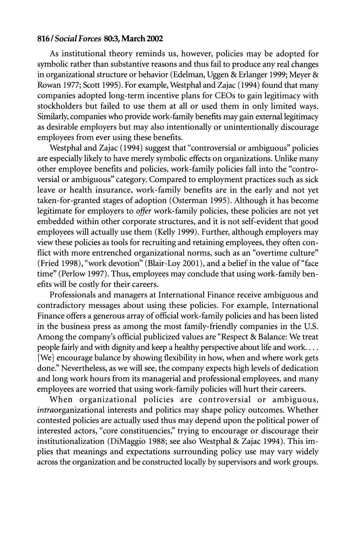### *816* / *Social Forces* **80:3, March2002**

As institutional theory reminds us, however, policies may be adopted for symbolic rather than substantive reasons and thus fail to produce any real changes in organizational structure or behavior (Edelman, Uggen & Erlanger 1999; Meyer & Rowan 1977; Scott 1995). For example, Westphal and Zajac (1994) found that many companies adopted long-term incentive plans for CEOs to gain legitimacy with stockholders but failed to use them at all or used them in only limited ways. Similarly, companies who provide work-family benefits may gain external legitimacy as desirable employers but may also intentionally or unintentionally discourage employees from ever using these benefits.

Westphal and Zajac (1994) suggest that "controversial or ambiguous" policies are especially likely to have merely symbolic effects on organizations. Unlike many other employee benefits and policies, work-family policies fall into the "controversial or ambiguous" category. Compared to employment practices such as sick leave or health insurance, work-family benefits are in the early and not yet taken-for-granted stages of adoption (Osterman 1995). Although it has become legitimate for employers to *offer* work-family policies, these policies are not yet embedded within other corporate structures, and it is not self-evident that good employees will actually use them (Kelly 1999). Further, although employers may view these policies as tools for recruiting and retaining employees, they often conflict with more entrenched organizational norms, such as an "overtime culture" (Fried 1998), "work devotion" (Blair-Loy 2001), and a belief in the value of "face time" (Perlow 1997). Thus, employees may conclude that using work-family benefits will be costly for their careers.

Professionals and managers at International Finance receive ambiguous and contradictory messages about using these policies. For example, International Finance offers a generous array of official work-family policies and has been listed in the business press as among the most family-friendly companies in the U.S. Among the company's official publicized values are "Respect & Balance: We treat people fairly and with dignity and keep a healthy perspective about life and work. . . . [We] encourage balance by showing flexibility in how, when and where work gets done." Nevertheless, as we will see, the company expects high levels of dedication and long work hours from its managerial and professional employees, and many employees are worried that using work-family policies will hurt their careers.

When organizational policies are controversial or ambiguous, intraorganizational interests and politics may shape policy outcomes. Whether contested policies are actually used thus may depend upon the political power of interested actors, "core constituencies," trying to encourage or discourage their institutionalization (DiMaggio 1988; see also Westphal & Zajac 1994). This implies that meanings and expectations surrounding policy use may vary widely across the organization and be constructed locally by supervisors and work groups.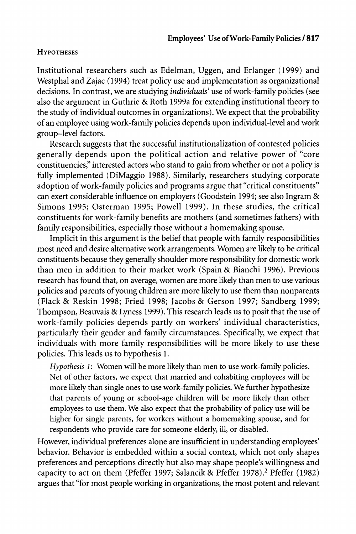### **HYPOTHESES**

Institutional researchers such as Edelman, Uggen, and Erlanger (1999) and Westphal and Zajac (1994) treat policy use and implementation as organizational decisions. In contrast, we are studying individuals' use of work-family policies (see also the argument in Guthrie & Roth 1999a for extending institutional theory to the study of individual outcomes in organizations). We expect that the probability of an employee using work-family policies depends upon individual-level and work group-level factors.

Research suggests that the successful institutionalization of contested policies generally depends upon the political action and relative power of "core constituencies," interested actors who stand to gain from whether or not a policy is fully implemented (DiMaggio 1988). Similarly, researchers studying corporate adoption of work-family policies and programs argue that "critical constituents" can exert considerable influence on employers (Goodstein 1994; see also Ingram & Simons 1995; Osterman 1995; Powell 1999). In these studies, the critical constituents for work-family benefits are mothers (and sometimes fathers) with family responsibilities, especially those without a homemaking spouse.

Implicit in this argument is the belief that people with family responsibilities most need and desire alternative work arrangements. Women are likely to be critical constituents because they generally shoulder more responsibility for domestic work than men in addition to their market work (Spain & Bianchi 1996). Previous research has found that, on average, women are more likely than men to use various policies and parents of young children are more likely to use them than nonparents (Flack & Reskin 1998; Fried 1998; Jacobs & Gerson 1997; Sandberg 1999; Thompson, Beauvais & Lyness 1999). This research leads us to posit that the use of work-family policies depends partly on workers' individual characteristics, particularly their gender and family circumstances. Specifically, we expect that individuals with more family responsibilities will be more likely to use these policies. This leads us to hypothesis 1.

Hypothesis 1: Women will be more likely than men to use work-family policies. Net of other factors, we expect that married and cohabiting employees will be more likely than single ones to use work-family policies. We further hypothesize that parents of young or school-age children will be more likely than other employees to use them. We also expect that the probability of policy use will be higher for single parents, for workers without a homemaking spouse, and for respondents who provide care for someone elderly, ill, or disabled.

However, individual preferences alone are insufficient in understanding employees' behavior. Behavior is embedded within a social context, which not only shapes preferences and perceptions directly but also may shape people's willingness and capacity to act on them (Pfeffer 1997; Salancik & Pfeffer 1978).<sup>2</sup> Pfeffer (1982) argues that "for most people working in organizations, the most potent and relevant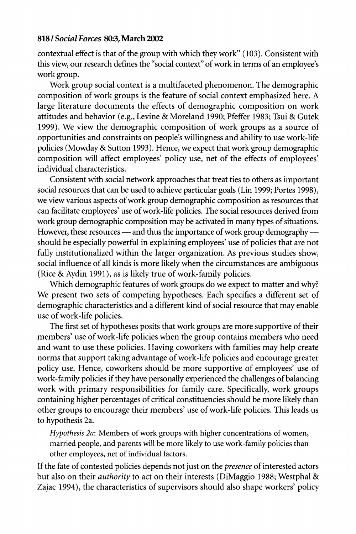### *818* / *Social Forces* **80:3,***March 2002*

contextual effect is that of the group with which they work" (103). Consistent with this view, our research defines the "social context" of work in terms of an employee's work group.

Work group social context is a multifaceted phenomenon. The demographic composition of work groups is the feature of social context emphasized here. A large literature documents the effects of demographic composition on work attitudes and behavior (e.g., Levine & Moreland 1990; Pfeffer 1983; Tsui & Gutek 1999). We view the demographic composition of work groups as a source of opportunities and constraints on people's willingness and ability to use work-life policies (Mowday & Sutton 1993). Hence, we expect that work group demographic composition will affect employees' policy use, net of the effects of employees' individual characteristics.

Consistent with social network approaches that treat ties to others as important social resources that can be used to achieve particular goals (Lin 1999; Portes 1998), we view various aspects of work group demographic composition as resources that can facilitate employees' use of work-life policies. The social resources derived from work group demographic composition may be activated in many types of situations. can facilitate employees' use of work-life policies. The social resources derived from<br>work group demographic composition may be activated in many types of situations.<br>However, these resources — and thus the importance of should be especially powerful in explaining employees' use of policies that are not fully institutionalized within the larger organization. As previous studies show, social influence of all kinds is more likely when the circumstances are ambiguous (Rice & Aydin 1991), as is likely true of work-family policies.

Which demographic features of work groups do we expect to matter and why? We present two sets of competing hypotheses. Each specifies a different set of demographic characteristics and a different kind of social resource that may enable use of work-life policies.

The first set of hypotheses posits that work groups are more supportive of their members' use of work-life policies when the group contains members who need and want to use these policies. Having coworkers with families may help create norms that support taking advantage of work-life policies and encourage greater policy use. Hence, coworkers should be more supportive of employees' use of work-family policies if they have personally experienced the challenges of balancing work with primary responsibilities for family care. Specifically, work groups containing higher percentages of critical constituencies should be more likely than other groups to encourage their members' use of work-life policies. This leads us to hypothesis 2a.

*Hypothesis 2a:* Members of work groups with higher concentrations of women, married people, and parents will be more likely to use work-family policies than other employees, net of individual factors.

If the fate of contested policies depends not just on the *presence* of interested actors but also on their *authority* to act on their interests (DiMaggio 1988; Westphal & Zajac 1994), the characteristics of supervisors should also shape workers' policy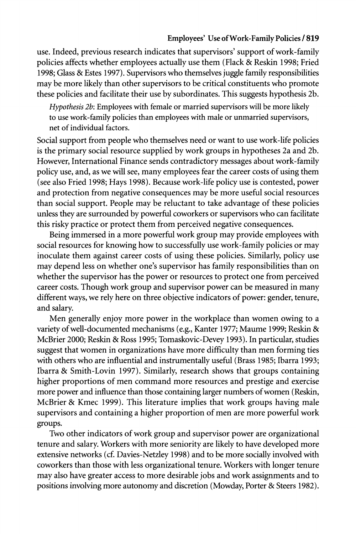use. Indeed, previous research indicates that supervisors' support of work-family policies affects whether employees actually use them (Flack & Reskin 1998; Fried 1998; Glass & Estes 1997). Supervisors who themselves juggle family responsibilities may be more likely than other supervisors to be critical constituents who promote these policies and facilitate their use by subordinates. This suggests hypothesis 2b.

Hypothesis 2b: Employees with female or married supervisors will be more likely to use work-family policies than employees with male or unmarried supervisors, net of individual factors.

Social support from people who themselves need or want to use work-life policies is the primary social resource supplied by work groups in hypotheses 2a and 2b. However, International Finance sends contradictory messages about work-family policy use, and, as we will see, many employees fear the career costs of using them (see also Fried 1998; Hays 1998). Because work-life policy use is contested, power and protection from negative consequences may be more useful social resources than social support. People may be reluctant to take advantage of these policies unless they are surrounded by powerful coworkers or supervisors who can facilitate this risky practice or protect them from perceived negative consequences.

Being immersed in a more powerful work group may provide employees with social resources for knowing how to successfully use work-family policies or may inoculate them against career costs of using these policies. Similarly, policy use may depend less on whether one's supervisor has family responsibilities than on whether the supervisor has the power or resources to protect one from perceived career costs. Though work group and supervisor power can be measured in many different ways, we rely here on three objective indicators of power: gender, tenure, and salary.

Men generally enjoy more power in the workplace than women owing to a variety of well-documented mechanisms (e.g., Kanter 1977; Maume 1999; Reskin & McBrier 2000; Reskin & Ross 1995; Tomaskovic-Devey 1993). In particular, studies suggest that women in organizations have more difficulty than men forming ties with others who are influential and instrumentally useful (Brass 1985; Ibarra 1993; Ibarra & Smith-Lovin 1997). Similarly, research shows that groups containing higher proportions of men command more resources and prestige and exercise more power and influence than those containing larger numbers of women (Reskin, McBrier & Kmec 1999). This literature implies that work groups having male supervisors and containing a higher proportion of men are more powerful work groups.

Two other indicators of work group and supervisor power are organizational tenure and salary. Workers with more seniority are likely to have developed more extensive networks (cf. Davies-Netzley 1998) and to be more socially involved with coworkers than those with less organizational tenure. Workers with longer tenure may also have greater access to more desirable jobs and work assignments and to positions involving more autonomy and discretion (Mowday, Porter & Steers 1982).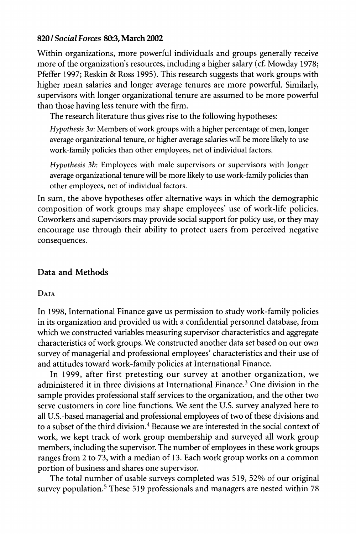### **820**/ *Social Forces* **80:3, March 2002**

Within organizations, more powerful individuals and groups generally receive more of the organization's resources, including a higher salary (cf. Mowday 1978; Pfeffer 1997; Reskin & Ross 1995). This research suggests that work groups with higher mean salaries and longer average tenures are more powerful. Similarly, supervisors with longer organizational tenure are assumed to be more powerful than those having less tenure with the firm.

The research literature thus gives rise to the following hypotheses:

*Hypothesis* 3a: Members of work groups with a higher percentage of men, longer average organizational tenure, or higher average salaries will be more likely to use work-family policies than other employees, net of individual factors.

*Hypothesis* 3b: Employees with male supervisors or supervisors with longer average organizational tenure will be more likely to use work-family policies than other employees, net of individual factors.

In sum, the above hypotheses offer alternative ways in which the demographic composition of work groups may shape employees' use of work-life policies. Coworkers and supervisors may provide social support for policy use, or they may encourage use through their ability to protect users from perceived negative consequences.

# **Data and Methods**

### **DATA**

In 1998, International Finance gave us permission to study work-family policies in its organization and provided us with a confidential personnel database, from which we constructed variables measuring supervisor characteristics and aggregate characteristics of work groups. We constructed another data set based on our own survey of managerial and professional employees' characteristics and their use of and attitudes toward work-family policies at International Finance.

In 1999, after first pretesting our survey at another organization, we administered it in three divisions at International Finance.<sup>3</sup> One division in the sample provides professional staff services to the organization, and the other two serve customers in core line functions. We sent the U.S. survey analyzed here to all U.S.-based managerial and professional employees of two of these divisions and to a subset of the third division.<sup>4</sup> Because we are interested in the social context of work, we kept track of work group membership and surveyed all work group members, including the supervisor. The number of employees in these work groups ranges from 2 to 73, with a median of 13. Each work group works on a common portion of business and shares one supervisor.

The total number of usable surveys completed was 519, 52% of our original survey population.<sup>5</sup> These 519 professionals and managers are nested within 78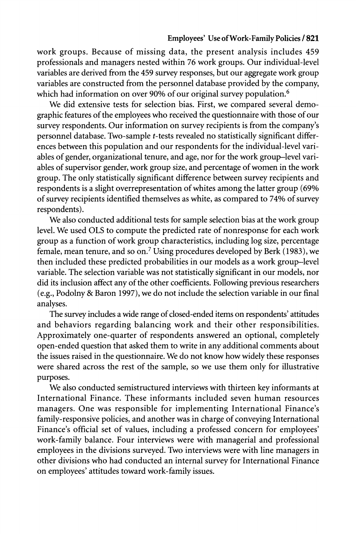work groups. Because of missing data, the present analysis includes 459 professionals and managers nested within 76 work groups. Our individual-level variables are derived from the 459 survey responses, but our aggregate work group variables are constructed from the personnel database provided by the company, which had information on over 90% of our original survey population. $6$ 

We did extensive tests for selection bias. First, we compared several demographic features of the employees who received the questionnaire with those of our survey respondents. Our information on survey recipients is from the company's personnel database. Two-sample t-tests revealed no statistically significant differences between this population and our respondents for the individual-level variables of gender, organizational tenure, and age, nor for the work group-level variables of supervisor gender, work group size, and percentage of women in the work group. The only statistically significant difference between survey recipients and respondents is a slight overrepresentation of whites among the latter group (69% of survey recipients identified themselves as white, as compared to 74% of survey respondents).

We also conducted additional tests for sample selection bias at the work group level. We used OLS to compute the predicted rate of nonresponse for each work group as a function of work group characteristics, including log size, percentage female, mean tenure, and so on.<sup>7</sup> Using procedures developed by Berk (1983), we then included these predicted probabilities in our models as a work group-level variable. The selection variable was not statistically significant in our models, nor did its inclusion affect any of the other coefficients. Following previous researchers (e.g., Podolny & Baron 1997), we do not include the selection variable in our final analyses.

The survey includes a wide range of closed-ended items on respondents' attitudes and behaviors regarding balancing work and their other responsibilities. Approximately one-quarter of respondents answered an optional, completely open-ended question that asked them to write in any additional comments about the issues raised in the questionnaire. We do not know how widely these responses were shared across the rest of the sample, so we use them only for illustrative purposes.

We also conducted semistructured interviews with thirteen key informants at International Finance. These informants included seven human resources managers. One was responsible for implementing International Finance's family-responsive policies, and another was in charge of conveying International Finance's official set of values, including a professed concern for employees' work-family balance. Four interviews were with managerial and professional employees in the divisions surveyed. Two interviews were with line managers in other divisions who had conducted an internal survey for International Finance on employees' attitudes toward work-family issues.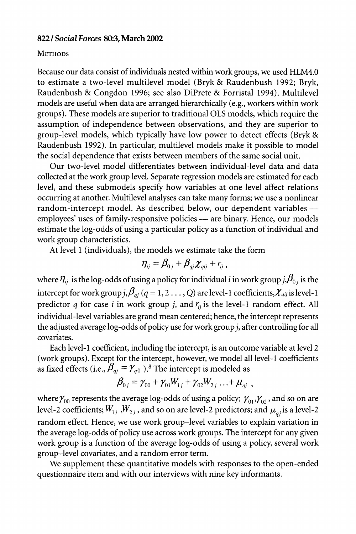### *822*/ *Social Forces* **80:3,** *March 2002*

#### **METHODS**

Because our data consist of individuals nested within work groups, we used HLM4.0 to estimate a two-level multilevel model (Bryk & Raudenbush 1992; Bryk, Raudenbush & Congdon 1996; see also DiPrete & Forristal 1994). Multilevel models are useful when data are arranged hierarchically (e.g., workers within work groups). These models are superior to traditional OLS models, which require the assumption of independence between observations, and they are superior to group-level models, which typically have low power to detect effects (Bryk & Raudenbush 1992). In particular, multilevel models make it possible to model the social dependence that exists between members of the same social unit.

Our two-level model differentiates between individual-level data and data collected at the work group level. Separate regression models are estimated for each level, and these submodels specify how variables at one level affect relations occurring at another. Multilevel analyses can take many forms; we use a nonlinear level, and these submodels specify how variables at one level affect relations<br>occurring at another. Multilevel analyses can take many forms; we use a nonlinear<br>random-intercept model. As described below, our dependent var random-intercept model. As described below, our dependent variables — employees' uses of family-responsive policies — are binary. Hence, our models estimate the log-odds of using a particular policy as a function of individual and work group characteristics.

At level 1 (individuals), the models we estimate take the form

$$
\eta_{ij} = \beta_{0j} + \beta_{qj}\chi_{qij} + r_{ij},
$$

where  $\eta_{ij}$  is the log-odds of using a policy for individual *i* in work group j,  $\beta_{0j}$  is the intercept for work group  $j, \beta_{qi}$  ( $q = 1, 2, ..., Q$ ) are level-1 coefficients,  $\chi_{qij}$  is level-1 predictor q for case i in work group j, and  $r_{ii}$  is the level-1 random effect. All individual-level variables are grand mean centered; hence, the intercept represents the adjusted average log-odds of policy use for work group  $j$ , after controlling for all covariates.

Each level-1 coefficient, including the intercept, is an outcome variable at level 2 (work groups). Except for the intercept, however, we model all level-1 coefficients as fixed effects (i.e.,  $\beta_{qj} = \gamma_{q0}$  ).<sup>8</sup> The intercept is modeled as

$$
\beta_{0j} = \gamma_{00} + \gamma_{01} W_{1j} + \gamma_{02} W_{2j} \ldots + \mu_{qj} ,
$$

where  $\gamma_{00}$  represents the average log-odds of using a policy;  $\gamma_{01}$ ,  $\gamma_{02}$ , and so on are level-2 coefficients;  $W_{1j}$ ,  $W_{2j}$ , and so on are level-2 predictors; and  $\mu_{qi}$  is a level-2 random effect. Hence, we use work group-level variables to explain variation in the average log-odds of policy use across work groups. The intercept for any given work group is a function of the average log-odds of using a policy, several work group-level covariates, and a random error term.

We supplement these quantitative models with responses to the open-ended questionnaire item and with our interviews with nine key informants.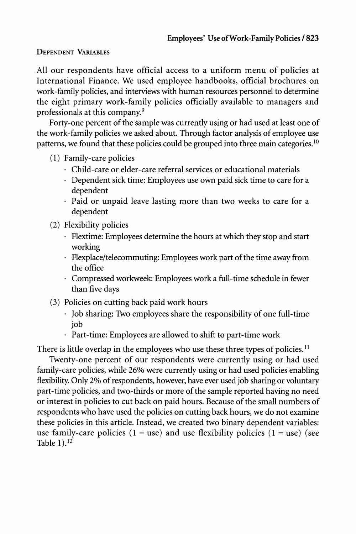### **DEPENDENT VARIABLES**

All our respondents have official access to a uniform menu of policies at International Finance. We used employee handbooks, official brochures on work-family policies, and interviews with human resources personnel to determine the eight primary work-family policies officially available to managers and professionals at this company.<sup>9</sup>

Forty-one percent of the sample was currently using or had used at least one of the work-family policies we asked about. Through factor analysis of employee use patterns, we found that these policies could be grouped into three main categories.<sup>10</sup>

- (1) Family-care policies
	- Child-care or elder-care referral services or educational materials
	- Dependent sick time: Employees use own paid sick time to care for a dependent
	- Paid or unpaid leave lasting more than two weeks to care for a dependent
- (2) Flexibility policies
	- Flextime: Employees determine the hours at which they stop and start working
	- $\cdot$  Flexplace/telecommuting: Employees work part of the time away from the office
	- Compressed workweek: Employees work a full-time schedule in fewer than five days
- (3) Policies on cutting back paid work hours
	- $\cdot$  Job sharing: Two employees share the responsibility of one full-time job
	- Part-time: Employees are allowed to shift to part-time work

There is little overlap in the employees who use these three types of policies.<sup>11</sup>

Twenty-one percent of our respondents were currently using or had used family-care policies, while 26% were currently using or had used policies enabling flexibility. Only 2% of respondents, however, have ever used job sharing or voluntary part-time policies, and two-thirds or more of the sample reported having no need or interest in policies to cut back on paid hours. Because of the small numbers of respondents who have used the policies on cutting back hours, we do not examine these policies in this article. Instead, we created two binary dependent variables: use family-care policies ( $1 =$ use) and use flexibility policies ( $1 =$ use) (see Table  $1$ ).<sup>12</sup>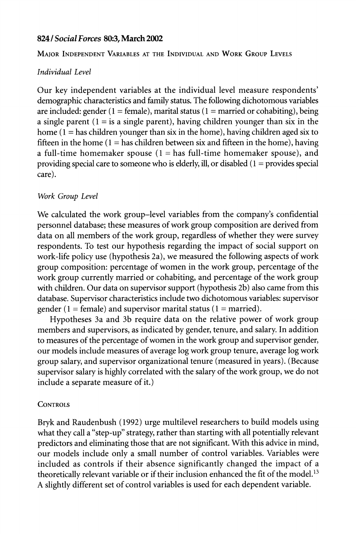### **824**1**Social***Forces* **80:3,March2002**

MAJOR INDEPENDENT VARIABLES AT THE INDIVIDUAL AND WORK GROUP LEVELS

### *Individual Level*

Our key independent variables at the individual level measure respondents' demographic characteristics and family status. The following dichotomous variables are included: gender (1 = female), marital status (1 = married or cohabiting), being a single parent ( $1 =$  is a single parent), having children younger than six in the home  $(1 =$  has children younger than six in the home), having children aged six to fifteen in the home  $(1 =$  has children between six and fifteen in the home), having a full-time homemaker spouse  $(1 =$  has full-time homemaker spouse), and providing special care to someone who is elderly, ill, or disabled  $(1 =$  provides special care).

### *Work Group Level*

We calculated the work group-level variables from the company's confidential personnel database; these measures of work group composition are derived from data on all members of the work group, regardless of whether they were survey respondents. To test our hypothesis regarding the impact of social support on work-life policy use (hypothesis 2a), we measured the following aspects of work group composition: percentage of women in the work group, percentage of the work group currently married or cohabiting, and percentage of the work group with children. Our data on supervisor support (hypothesis 2b) also came from this database. Supervisor characteristics include two dichotomous variables: supervisor gender ( $1 =$  female) and supervisor marital status ( $1 =$  married).

Hypotheses 3a and 3b require data on the relative power of work group members and supervisors, as indicated by gender, tenure, and salary. In addition to measures of the percentage of women in the work group and supervisor gender, our models include measures of average log work group tenure, average log work group salary, and supervisor organizational tenure (measured in years). (Because supervisor salary is highly correlated with the salary of the work group, we do not include a separate measure of it.)

### **CONTROLS**

Bryk and Raudenbush (1992) urge multilevel researchers to build models using what they call a "step-up" strategy, rather than starting with all potentially relevant predictors and eliminating those that are not significant. With this advice in mind, our models include only a small number of control variables. Variables were included as controls if their absence significantly changed the impact of a theoretically relevant variable or if their inclusion enhanced the fit of the model.<sup>13</sup> A slightly different set of control variables is used for each dependent variable.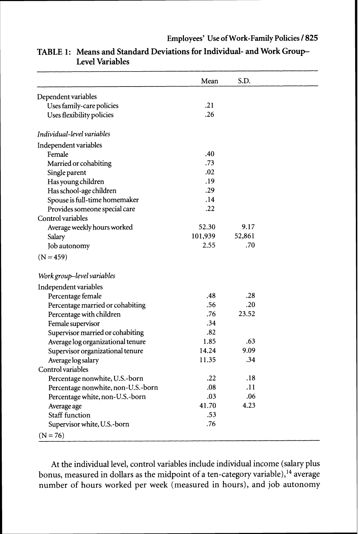|                                    | Mean    | S.D.   |  |
|------------------------------------|---------|--------|--|
| Dependent variables                |         |        |  |
| Uses family-care policies          | .21     |        |  |
| Uses flexibility policies          | .26     |        |  |
| Individual-level variables         |         |        |  |
| Independent variables              |         |        |  |
| Female                             | .40     |        |  |
| Married or cohabiting              | .73     |        |  |
| Single parent                      | .02     |        |  |
| Has young children                 | .19     |        |  |
| Has school-age children            | .29     |        |  |
| Spouse is full-time homemaker      | .14     |        |  |
| Provides someone special care      | .22     |        |  |
| Control variables                  |         |        |  |
| Average weekly hours worked        | 52.30   | 9.17   |  |
| Salary                             | 101,939 | 52,861 |  |
| Job autonomy                       | 2.55    | .70    |  |
| $(N = 459)$                        |         |        |  |
| Work group-level variables         |         |        |  |
| Independent variables              |         |        |  |
| Percentage female                  | .48     | .28    |  |
| Percentage married or cohabiting   | .56     | .20    |  |
| Percentage with children           | .76     | 23.52  |  |
| Female supervisor                  | .34     |        |  |
| Supervisor married or cohabiting   | .82     |        |  |
| Average log organizational tenure  | 1.85    | .63    |  |
| Supervisor organizational tenure   | 14.24   | 9.09   |  |
| Average log salary                 | 11.35   | .34    |  |
| Control variables                  |         |        |  |
| Percentage nonwhite, U.S.-born     | .22     | .18    |  |
| Percentage nonwhite, non-U.S.-born | .08     | .11    |  |
| Percentage white, non-U.S.-born    | .03     | .06    |  |
| Average age                        | 41.70   | 4.23   |  |
| Staff function                     | .53     |        |  |
| Supervisor white, U.S.-born        | .76     |        |  |
|                                    |         |        |  |
| $(N = 76)$                         |         |        |  |

# **TABLE 1: Means and Standard Deviations for Individual- and Work Group Level Variables**

At the individual level, control variables include individual income (salary plus bonus, measured in dollars as the midpoint of a ten-category variable),<sup>14</sup> average number of hours worked per week (measured in hours), and job autonomy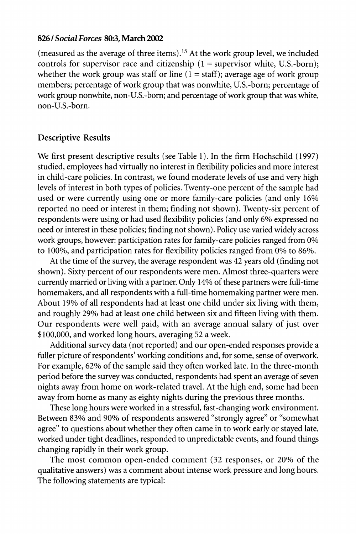### **826**1*Social Forces* **80:3, March 2002**

(measured as the average of three items).15 At the work group level, we included controls for supervisor race and citizenship  $(1 =$  supervisor white, U.S.-born); whether the work group was staff or line ( $1 = \text{staff}$ ); average age of work group members; percentage of work group that was nonwhite, U.S.-born; percentage of work group nonwhite, non-U.S.-born; and percentage of work group that was white, non-U.S.-born.

### **Descriptive Results**

We first present descriptive results (see Table 1). In the firm Hochschild (1997) studied, employees had virtually no interest in flexibility policies and more interest in child-care policies. In contrast, we found moderate levels of use and very high levels of interest in both types of policies. Twenty-one percent of the sample had used or were currently using one or more family-care policies (and only 16% reported no need or interest in them; finding not shown). Twenty-six percent of respondents were using or had used flexibility policies (and only 6% expressed no need or interest in these policies; finding not shown). Policy use varied widely across work groups, however: participation rates for family-care policies ranged from 0% to 100%, and participation rates for flexibility policies ranged from 0% to 86%.

At the time of the survey, the average respondent was 42 years old (finding not shown). Sixty percent of our respondents were men. Almost three-quarters were currently married or living with a partner. Only 14% of these partners were full-time homemakers, and all respondents with a full-time homemaking partner were men. About 19% of all respondents had at least one child under six living with them, and roughly 29% had at least one child between six and fifteen living with them. Our respondents were well paid, with an average annual salary of just over \$100,000, and worked long hours, averaging 52 a week.

Additional survey data (not reported) and our open-ended responses provide a fuller picture of respondents' working conditions and, for some, sense of overwork. For example, 62% of the sample said they often worked late. In the three-month period before the survey was conducted, respondents had spent an average of seven nights away from home on work-related travel. At the high end, some had been away from home as many as eighty nights during the previous three months.

These long hours were worked in a stressful, fast-changing work environment. Between 83% and 90% of respondents answered "strongly agree" or "somewhat agree" to questions about whether they often came in to work early or stayed late, worked under tight deadlines, responded to unpredictable events, and found things changing rapidly in their work group.

The most common open-ended comment (32 responses, or 20% of the qualitative answers) was a comment about intense work pressure and long hours. The following statements are typical: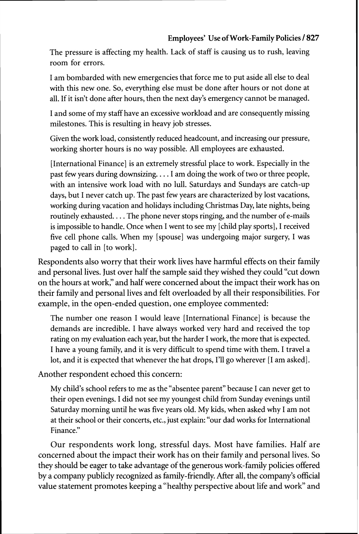The pressure is affecting my health. Lack of staff is causing us to rush, leaving room for errors.

I am bombarded with new emergencies that force me to put aside all else to deal with this new one. So, everything else must be done after hours or not done at all. If it isn't done after hours, then the next day's emergency cannot be managed.

I and some of my staff have an excessive workload and are consequently missing milestones. This is resulting in heavy job stresses.

Given the work load, consistently reduced headcount, and increasing our pressure, working shorter hours is no way possible. All employees are exhausted.

[International Finance] is an extremely stressful place to work. Especially in the past few years during downsizing. . . . I am doing the work of two or three people, with an intensive work load with no lull. Saturdays and Sundays are catch-up days, but I never catch up. The past few years are characterized by lost vacations, working during vacation and holidays including Christmas Day, late nights, being routinely exhausted. . . .The phone never stops ringing, and the number of e-mails is impossible to handle. Once when I went to see my [child play sports], I received five cell phone calls. When my [spouse] was undergoing major surgery, I was paged to call in [to work].

Respondents also worry that their work lives have harmful effects on their family and personal lives. Just over half the sample said they wished they could "cut down on the hours at work," and half were concerned about the impact their work has on their family and personal lives and felt overloaded by all their responsibilities. For example, in the open-ended question, one employee commented:

The number one reason I would leave [International Finance] is because the demands are incredible. I have always worked very hard and received the top rating on my evaluation each year, but the harder I work, the more that is expected. I have a young family, and it is very difficult to spend time with them. I travel a lot, and it is expected that whenever the hat drops, I'll go wherever [I am asked].

Another respondent echoed this concern:

My child's school refers to me as the "absentee parent" because I can never get to their open evenings. I did not see my youngest child from Sunday evenings until Saturday morning until he was five years old. My kids, when asked why I am not at their school or their concerts, etc., just explain: "our dad works for International Finance."

Our respondents work long, stressful days. Most have families. Half are concerned about the impact their work has on their family and personal lives. So they should be eager to take advantage of the generous work-family policies offered by a company publicly recognized as family-friendly. After all, the company's official value statement promotes keeping a "healthy perspective about life and work" and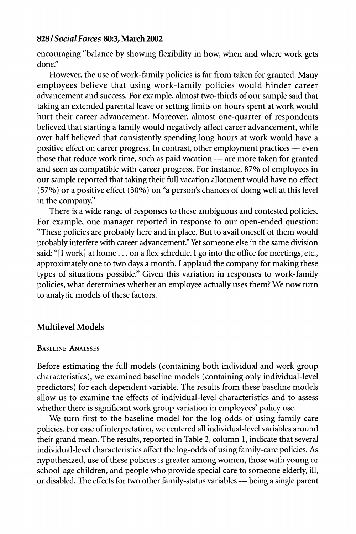### **828**/ **Social Forces 80:3, March 2002**

encouraging "balance by showing flexibility in how, when and where work gets done."

However, the use of work-family policies is far from taken for granted. Many employees believe that using work-family policies would hinder career advancement and success. For example, almost two-thirds of our sample said that taking an extended parental leave or setting limits on hours spent at work would hurt their career advancement. Moreover, almost one-quarter of respondents believed that starting a family would negatively affect career advancement, while over half believed that consistently spending long hours at work would have a believed that starting a family would negatively affect career advancement, while<br>over half believed that consistently spending long hours at work would have a<br>positive effect on career progress. In contrast, other employm over half believed that consistently spending long hours at work would have a<br>positive effect on career progress. In contrast, other employment practices — even<br>those that reduce work time, such as paid vacation — are more and seen as compatible with career progress. For instance, 87% of employees in our sample reported that taking their full vacation allotment would have no effect (57%) or a positive effect (30%) on "a person's chances of doing well at this level in the company."

There is a wide range of responses to these ambiguous and contested policies. For example, one manager reported in response to our open-ended question: "These policies are probably here and in place. But to avail oneself of them would probably interfere with career advancement." Yet someone else in the same division said: "[I work] at home . . . on a flex schedule. I go into the office for meetings, etc., approximately one to two days a month. I applaud the company for making these types of situations possible." Given this variation in responses to work-family policies, what determines whether an employee actually uses them? We now turn to analytic models of these factors.

# **Multilevel Models**

### **BASELINE ANALYSES**

Before estimating the full models (containing both individual and work group characteristics), we examined baseline models (containing only individual-level predictors) for each dependent variable. The results from these baseline models allow us to examine the effects of individual-level characteristics and to assess whether there is significant work group variation in employees' policy use.

We turn first to the baseline model for the log-odds of using family-care policies. For ease of interpretation, we centered all individual-level variables around their grand mean. The results, reported in Table 2, column 1, indicate that several individual-level characteristics affect the log-odds of using family-care policies. As hypothesized, use of these policies is greater among women, those with young or school-age children, and people who provide special care to someone elderly, ill, or disabled. The effects for two other family-status variables - being a single parent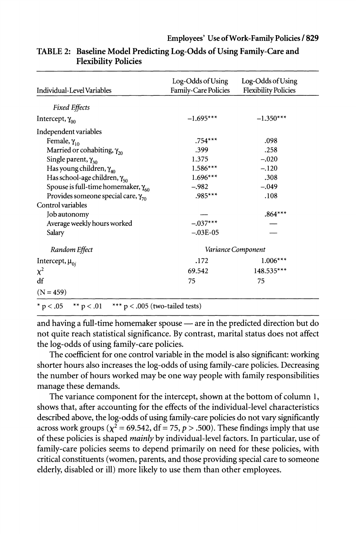| Individual-Level Variables                   | Log-Odds of Using<br>Family-Care Policies | Log-Odds of Using<br><b>Flexibility Policies</b> |
|----------------------------------------------|-------------------------------------------|--------------------------------------------------|
| <b>Fixed Effects</b>                         |                                           |                                                  |
| Intercept, $\gamma_{00}$                     | $-1.695***$                               | $-1.350***$                                      |
| Independent variables                        |                                           |                                                  |
| Female, $\gamma_{10}$                        | $.754***$                                 | .098                                             |
| Married or cohabiting, $\gamma_{20}$         | .399                                      | .258                                             |
| Single parent, $\gamma_{30}$                 | 1.375                                     | $-.020$                                          |
| Has young children, $\gamma_{40}$            | $1.586***$                                | $-.120$                                          |
| Has school-age children, $\gamma_{50}$       | $1.696***$                                | .308                                             |
| Spouse is full-time homemaker, $\gamma_{60}$ | $-.982$                                   | $-.049$                                          |
| Provides someone special care, $\gamma_{70}$ | $.985***$                                 | .108                                             |
| Control variables                            |                                           |                                                  |
| Job autonomy                                 |                                           | $.864***$                                        |
| Average weekly hours worked                  | $-.037***$                                |                                                  |
| Salary                                       | $-.03E-05$                                |                                                  |
| Random Effect                                | Variance Component                        |                                                  |
| Intercept, $\mu_{0i}$                        | .172                                      | $1.006***$                                       |
| $\chi^2$                                     | 69.542                                    | 148.535***                                       |
| df                                           | 75                                        | 75                                               |
| $(N = 459)$                                  |                                           |                                                  |

# TABLE 2: Baseline Model Predicting Log-Odds of Using Family-Care and Flexibility Policies

and having a full-time homemaker spouse - are in the predicted direction but do not quite reach statistical significance. By contrast, marital status does not affect the log-odds of using family-care policies.

The coefficient for one control variable in the model is also significant: working shorter hours also increases the log-odds of using family-care policies. Decreasing the number of hours worked may be one way people with family responsibilities manage these demands.

The variance component for the intercept, shown at the bottom of column 1, shows that, after accounting for the effects of the individual-level characteristics described above, the log-odds of using family-care policies do not vary significantly across work groups  $(\chi^2 = 69.542, df = 75, p > .500)$ . These findings imply that use of these policies is shaped mainly by individual-level factors. In particular, use of family-care policies seems to depend primarily on need for these policies, with critical constituents (women, parents, and those providing special care to someone elderly, disabled or ill) more likely to use them than other employees.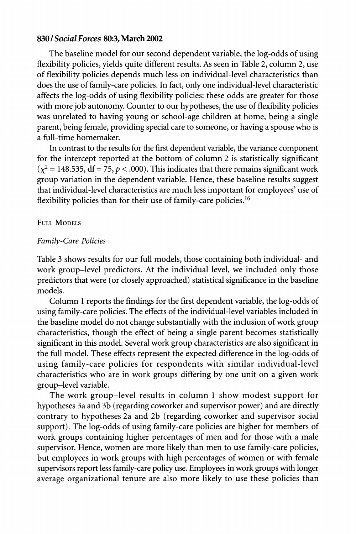### **830** 1*Social Forces* **€03,** *March 2002*

The baseline model for our second dependent variable, the log-odds of using flexibility policies, yields quite different results. As seen in Table 2, column 2, use of flexibility policies depends much less on individual-level characteristics than does the use of family-care policies. In fact, only one individual-level characteristic affects the log-odds of using flexibility policies: these odds are greater for those with more job autonomy. Counter to our hypotheses, the use of flexibility policies was unrelated to having young or school-age children at home, being a single parent, being female, providing special care to someone, or having a spouse who is a full-time homemaker.

In contrast to the results for the first dependent variable, the variance component for the intercept reported at the bottom of column 2 is statistically significant  $(\chi^2 = 148.535, df = 75, p < .000)$ . This indicates that there remains significant work group variation in the dependent variable. Hence, these baseline results suggest that individual-level characteristics are much less important for employees' use of flexibility policies than for their use of family-care policies.<sup>16</sup>

### **FULL MODELS**

#### *Family-Care Policies*

Table 3 shows results for our full models, those containing both individual- and work group-level predictors. At the individual level, we included only those predictors that were (or closely approached) statistical significance in the baseline models.

Column 1 reports the findings for the first dependent variable, the log-odds of using family-care policies. The effects of the individual-level variables included in the baseline model do not change substantially with the inclusion of work group characteristics, though the effect of being a single parent becomes statistically significant in this model. Several work group characteristics are also significant in the full model. These effects represent the expected difference in the log-odds of using family-care policies for respondents with similar individual-level characteristics who are in work groups differing by one unit on a given work group-level variable.

The work group-level results in column 1 show modest support for hypotheses 3a and 3b (regarding coworker and supervisor power) and are directly contrary to hypotheses 2a and 2b (regarding coworker and supervisor social support). The log-odds of using family-care policies are higher for members of work groups containing higher percentages of men and for those with a male supervisor. Hence, women are more likely than men to use family-care policies, but employees in work groups with high percentages of women or with female supervisors report less family-care policy use. Employees in work groups with longer average organizational tenure are also more likely to use these policies than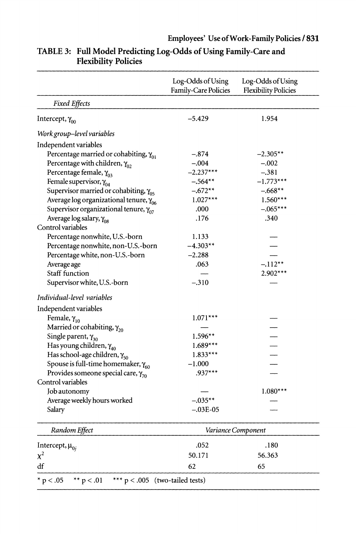|                                                  | Log-Odds of Using<br>Family-Care Policies | Log-Odds of Using<br><b>Flexibility Policies</b> |
|--------------------------------------------------|-------------------------------------------|--------------------------------------------------|
| <b>Fixed Effects</b>                             |                                           |                                                  |
| Intercept, $\gamma_{00}$                         | $-5.429$                                  | 1.954                                            |
| Work group-level variables                       |                                           |                                                  |
| Independent variables                            |                                           |                                                  |
| Percentage married or cohabiting, $\gamma_{01}$  | $-.874$                                   | $-2.305**$                                       |
| Percentage with children, $\gamma_{02}$          | $-.004$                                   | $-.002$                                          |
| Percentage female, $\gamma_{03}$                 | $-2.237***$                               | $-.381$                                          |
| Female supervisor, $\gamma_{04}$                 | $-.564**$                                 | $-1.773***$                                      |
| Supervisor married or cohabiting, $\gamma_{05}$  | $-.672**$                                 | $-.668**$                                        |
| Average log organizational tenure, $\gamma_{06}$ | $1.027***$                                | $1.560***$                                       |
| Supervisor organizational tenure, $\gamma_{07}$  | .000                                      | $-.065***$                                       |
| Average log salary, $\gamma_{08}$                | .176                                      | .340                                             |
| Control variables                                |                                           |                                                  |
| Percentage nonwhite, U.S.-born                   | 1.133                                     |                                                  |
| Percentage nonwhite, non-U.S.-born               | $-4.303**$                                |                                                  |
| Percentage white, non-U.S.-born                  | $-2.288$                                  |                                                  |
| Average age                                      | .063                                      | $-.112**$                                        |
| Staff function                                   |                                           | 2.902***                                         |
| Supervisor white, U.S.-born                      | $-.310$                                   |                                                  |
| Individual-level variables                       |                                           |                                                  |
| Independent variables                            |                                           |                                                  |
| Female, $\gamma_{10}$                            | $1.071***$                                |                                                  |
| Married or cohabiting, $\gamma_{20}$             |                                           |                                                  |
| Single parent, $\gamma_{30}$                     | $1.596**$                                 |                                                  |
| Has young children, $\gamma_{40}$                | $1.689***$                                |                                                  |
| Has school-age children, $\gamma_{50}$           | $1.833***$                                |                                                  |
| Spouse is full-time homemaker, $\gamma_{60}$     | $-1.000$                                  |                                                  |
| Provides someone special care, $\gamma_{70}$     | .937***                                   |                                                  |
| Control variables                                |                                           |                                                  |
| Job autonomy                                     |                                           | $1.080***$                                       |
| Average weekly hours worked                      | $-.035**$                                 |                                                  |
| Salary                                           | $-.03E-05$                                |                                                  |
| Random Effect                                    | Variance Component                        |                                                  |
| Intercept, $\mu_{0i}$                            | .052                                      | .180                                             |
| $\chi^2$                                         | 50.171                                    | 56.363                                           |
| df                                               | 62                                        | 65                                               |

# **TABLE 3: Full Model Predicting Log-Odds of Using Family-Care and Flexibility Policies**

\* p < .05 \*\* p < .01 \*\*\* p < .005 (two-tailed tests)

 $df$  62 65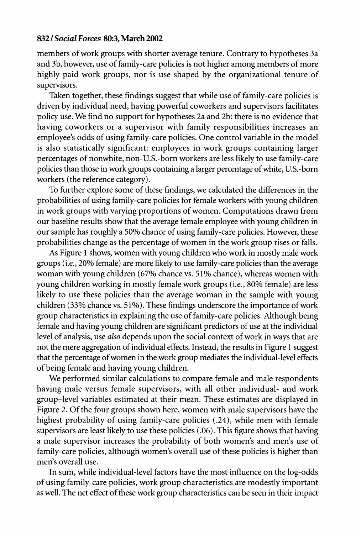### *832* 1*Social Forces* **80:3,** *March 2002*

members of work groups with shorter average tenure. Contrary to hypotheses 3a and 3b, however, use of family-care policies is not higher among members of more highly paid work groups, nor is use shaped by the organizational tenure of supervisors.

Taken together, these findings suggest that while use of family-care policies is driven by individual need, having powerful coworkers and supervisors facilitates policy use. We find no support for hypotheses 2a and 2b: there is no evidence that having coworkers or a supervisor with family responsibilities increases an employee's odds of using family-care policies. One control variable in the model is also statistically significant: employees in work groups containing larger percentages of nonwhite, non-U.S.-born workers are less likely to use family-care policies than those in work groups containing a larger percentage of white, U.S.-born workers (the reference category).

To further explore some of these findings, we calculated the differences in the probabilities of using family-care policies for female workers with young children in work groups with varying proportions of women. Computations drawn from our baseline results show that the average female employee with young children in our sample has roughly a 50% chance of using family-care policies. However, these probabilities change as the percentage of women in the work group rises or falls.

As Figure 1 shows, women with young children who work in mostly male work groups (i.e., 20% female) are more likely to use family-care policies than the average woman with young children (67% chance vs. 51% chance), whereas women with young children working in mostly female work groups (i.e., 80% female) are less likely to use these policies than the average woman in the sample with young children (33% chance vs. 51%). These findings underscore the importance of work group characteristics in explaining the use of family-care policies. Although being female and having young children are significant predictors of use at the individual level of analysis, use also depends upon the social context of work in ways that are not the mere aggregation of individual effects. Instead, the results in Figure 1 suggest that the percentage of women in the work group mediates the individual-level effects of being female and having young children.

We performed similar calculations to compare female and male respondents having male versus female supervisors, with all other individual- and work group-level variables estimated at their mean. These estimates are displayed in Figure 2. Of the four groups shown here, women with male supervisors have the highest probability of using family-care policies (.24), while men with female supervisors are least likely to use these policies (.06). This figure shows that having a male supervisor increases the probability of both women's and men's use of family-care policies, although women's overall use of these policies is higher than men's overall use.

In sum, while individual-level factors have the most influence on the log-odds of using family-care policies, work group characteristics are modestly important as well. The net effect of these work group characteristics can be seen in their impact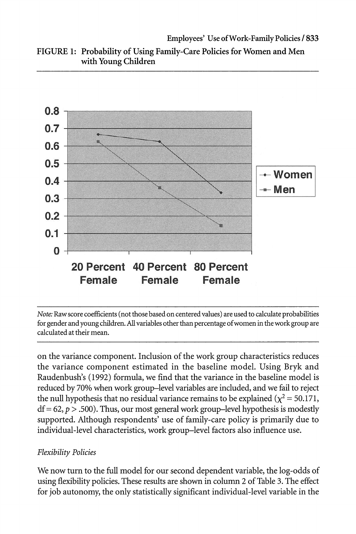FIGURE 1: Probability of Using Family-Care Policies for Women and Men **with** Young Children



Note: Raw score coefficients (not those based on centered values) are used to calculate probabilities for gender and young children. All variables other than percentage of women in the work group are calculated at their mean.

on the variance component. Inclusion of the work group characteristics reduces the variance component estimated in the baseline model. Using Bryk and Raudenbush's (1992) formula, we find that the variance in the baseline model is reduced by 70% when work group-level variables are included, and we fail to reject the null hypothesis that no residual variance remains to be explained  $(\chi^2 = 50.171,$  $df = 62, p > .500$ . Thus, our most general work group-level hypothesis is modestly supported. Although respondents' use of family-care policy is primarily due to individual-level characteristics, work group-level factors also influence use.

# *Flexibility Policies*

We now turn to the full model for our second dependent variable, the log-odds of using flexibility policies. These results are shown in column 2 of Table **3.** The effect for job autonomy, the only statistically significant individual-level variable in the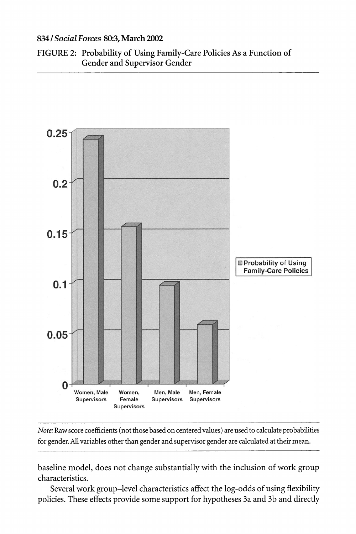### **834**/ *Social Forces* **80:3, March2002**

FIGURE 2: Probability of Using Family-Care Policies As a Function of Gender and Supervisor Gender



Note: Raw score coefficients (not those based on centered values) are used to calculate probabilities for gender. All variables other than gender and supervisor gender are calculated at their mean.

baseline model, does not change substantially with the inclusion of work group characteristics.

Several work group-level characteristics affect the log-odds of using flexibility policies. These effects provide some support for hypotheses 3a and 3b and directly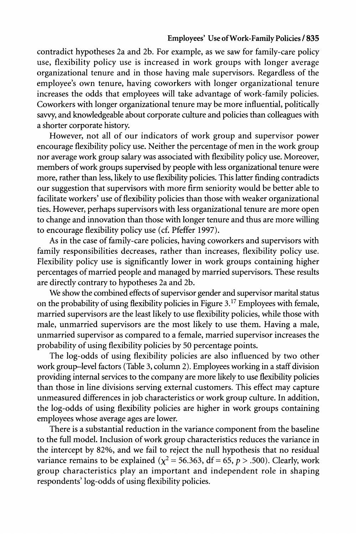contradict hypotheses 2a and 2b. For example, as we saw for family-care policy use, flexibility policy use is increased in work groups with longer average organizational tenure and in those having male supervisors. Regardless of the employee's own tenure, having coworkers with longer organizational tenure increases the odds that employees will take advantage of work-family policies. Coworkers with longer organizational tenure may be more influential, politically savvy, and knowledgeable about corporate culture and policies than colleagues with a shorter corporate history.

However, not all of our indicators of work group and supervisor power encourage flexibility policy use. Neither the percentage of men in the work group nor average work group salary was associated with flexibility policy use. Moreover, members of work groups supervised by people with less organizational tenure were more, rather than less, likely to use flexibility policies. This latter finding contradicts our suggestion that supervisors with more firm seniority would be better able to facilitate workers' use of flexibility policies than those with weaker organizational ties. However, perhaps supervisors with less organizational tenure are more open to change and innovation than those with longer tenure and thus are more willing to encourage flexibility policy use (cf. Pfeffer 1997).

As in the case of family-care policies, having coworkers and supervisors with family responsibilities decreases, rather than increases, flexibility policy use. Flexibility policy use is significantly lower in work groups containing higher percentages of married people and managed by married supervisors. These results are directly contrary to hypotheses 2a and 2b.

We show the combined effects of supervisor gender and supervisor marital status on the probability of using flexibility policies in Figure **3.17**Employees with female, married supervisors are the least likely to use flexibility policies, while those with male, unmarried supervisors are the most likely to use them. Having a male, unmarried supervisor as compared to a female, married supervisor increases the probability of using flexibility policies by 50 percentage points.

The log-odds of using flexibility policies are also influenced by two other work group-level factors (Table 3, column 2). Employees working in a staff division providing internal services to the company are more likely to use flexibility policies than those in line divisions serving external customers. This effect may capture unmeasured differences in job characteristics or work group culture. In addition, the log-odds of using flexibility policies are higher in work groups containing employees whose average ages are lower.

There is a substantial reduction in the variance component from the baseline to the full model. Inclusion of work group characteristics reduces the variance in the intercept by 82%, and we fail to reject the null hypothesis that no residual variance remains to be explained  $(\chi^2 = 56.363, df = 65, p > .500)$ . Clearly, work group characteristics play an important and independent role in shaping respondents' log-odds of using flexibility policies.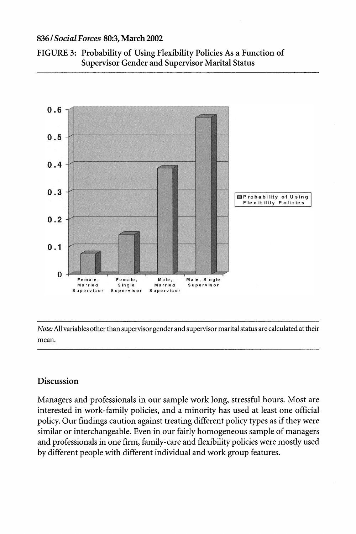# **836** / *Social Forces* **80:3,** *March* **2002**

FIGURE **3:** Probability of Using Flexibility Policies As a Function of Supervisor Gender and Supervisor Marital Status



*Note:* All variables other than supervisor gender and supervisor marital status are calculated at their mean.

# **Discussion**

Managers and professionals in our sample work long, stressful hours. Most are interested in work-family policies, and a minority has used at least one official policy. Our findings caution against treating different policy types as if they were similar or interchangeable. Even in our fairly homogeneous sample of managers and professionals in one firm, family-care and flexibility policies were mostly used by different people with different individual and work group features.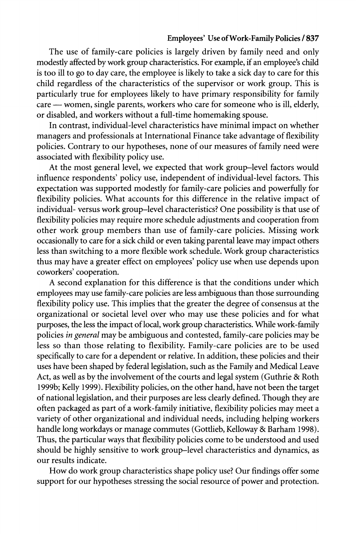The use of family-care policies is largely driven by family need and only modestly affected by work group characteristics. For example, if an employee's child is too ill to go to day care, the employee is likely to take a sick day to care for this child regardless of the characteristics of the supervisor or work group. This is particularly true for employees likely to have primary responsibility for family child regardless of the characteristics of the supervisor or work group. This is<br>particularly true for employees likely to have primary responsibility for family<br>care — women, single parents, workers who care for someone w or disabled, and workers without a full-time homemaking spouse.

In contrast, individual-level characteristics have minimal impact on whether managers and professionals at International Finance take advantage of flexibility policies. Contrary to our hypotheses, none of our measures of family need were associated with flexibility policy use.

At the most general level, we expected that work group-level factors would influence respondents' policy use, independent of individual-level factors. This expectation was supported modestly for family-care policies and powerfully for flexibility policies. What accounts for this difference in the relative impact of individual- versus work group-level characteristics? One possibility is that use of flexibility policies may require more schedule adjustments and cooperation from other work group members than use of family-care policies. Missing work occasionally to care for a sick child or even taking parental leave may impact others less than switching to a more flexible work schedule. Work group characteristics thus may have a greater effect on employees' policy use when use depends upon coworkers' cooperation.

A second explanation for this difference is that the conditions under which employees may use family-care policies are less ambiguous than those surrounding flexibility policy use. This implies that the greater the degree of consensus at the organizational or societal level over who may use these policies and for what purposes, the less the impact of local, work group characteristics. While work-family policies *in general* may be ambiguous and contested, family-care policies may be less so than those relating to flexibility. Family-care policies are to be used specifically to care for a dependent or relative. In addition, these policies and their uses have been shaped by federal legislation, such as the Family and Medical Leave Act, as well as by the involvement of the courts and legal system (Guthrie & Roth 1999b; Kelly 1999). Flexibility policies, on the other hand, have not been the target of national legislation, and their purposes are less clearly defined. Though they are often packaged as part of a work-family initiative, flexibility policies may meet a variety of other organizational and individual needs, including helping workers handle long workdays or manage commutes (Gottlieb, Kelloway & Barham 1998). Thus, the particular ways that flexibility policies come to be understood and used should be highly sensitive to work group-level characteristics and dynamics, as our results indicate.

How do work group characteristics shape policy use? Our findings offer some support for our hypotheses stressing the social resource of power and protection.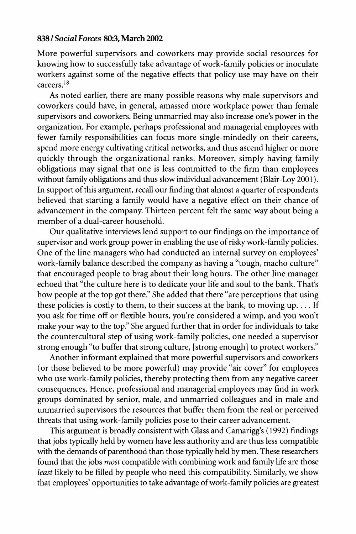### **838**/ *Social Forces* **80:3,March2002**

More powerful supervisors and coworkers may provide social resources for knowing how to successfully take advantage of work-family policies or inoculate workers against some of the negative effects that policy use may have on their careers.18

As noted earlier, there are many possible reasons why male supervisors and coworkers could have, in general, amassed more workplace power than female supervisors and coworkers. Being unmarried may also increase one's power in the organization. For example, perhaps professional and managerial employees with fewer family responsibilities can focus more single-mindedly on their careers, spend more energy cultivating critical networks, and thus ascend higher or more quickly through the organizational ranks. Moreover, simply having family obligations may signal that one is less committed to the firm than employees without family obligations and thus slow individual advancement (Blair-Loy 2001). In support of this argument, recall our finding that almost a quarter of respondents believed that starting a family would have a negative effect on their chance of advancement in the company. Thirteen percent felt the same way about being a member of a dual-career household.

Our qualitative interviews lend support to our findings on the importance of supervisor and work group power in enabling the use of risky work-family policies. One of the line managers who had conducted an internal survey on employees' work-family balance described the company as having a "tough, macho culture" that encouraged people to brag about their long hours. The other line manager echoed that "the culture here is to dedicate your life and soul to the bank. That's how people at the top got there." She added that there "are perceptions that using these policies is costly to them, to their success at the bank, to moving up. . . . If you ask for time off or flexible hours, you're considered a wimp, and you won't make your way to the top." She argued further that in order for individuals to take the countercultural step of using work-family policies, one needed a supervisor strong enough "to buffer that strong culture, [strong enough] to protect workers."

Another informant explained that more powerful supervisors and coworkers (or those believed to be more powerful) may provide "air cover" for employees who use work-family policies, thereby protecting them from any negative career consequences. Hence, professional and managerial employees may find in work groups dominated by senior, male, and unmarried colleagues and in male and unmarried supervisors the resources that buffer them from the real or perceived threats that using work-family policies pose to their career advancement.

This argument is broadly consistent with Glass and Camarigg's (1992) findings that jobs typically held by women have less authority and are thus less compatible with the demands of parenthood than those typically held by men. These researchers found that the jobs most compatible with combining work and family life are those least likely to be filled by people who need this compatibility. Similarly, we show that employees' opportunities to take advantage of work-family policies are greatest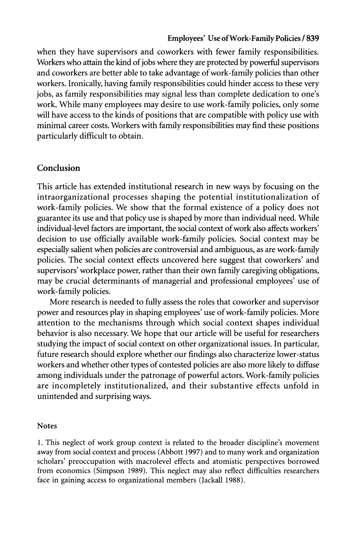when they have supervisors and coworkers with fewer family responsibilities. Workers who attain the kind of jobs where they are protected by powerful supervisors and coworkers are better able to take advantage of work-family policies than other workers. Ironically, having family responsibilities could hinder access to these very jobs, as family responsibilities may signal less than complete dedication to one's work. While many employees may desire to use work-family policies, only some will have access to the kinds of positions that are compatible with policy use with minimal career costs. Workers with family responsibilities may find these positions particularly difficult to obtain.

# **Conclusion**

This article has extended institutional research in new ways by focusing on the intraorganizational processes shaping the potential institutionalization of work-family policies. We show that the formal existence of a policy does not guarantee its use and that policy use is shaped by more than individual need. While individual-level factors are important, the social context of work also affects workers' decision to use officially available work-family policies. Social context may be especially salient when policies are controversial and ambiguous, as are work-family policies. The social context effects uncovered here suggest that coworkers' and supervisors' workplace power, rather than their own family caregiving obligations, may be crucial determinants of managerial and professional employees' use of work-family policies.

More research is needed to fully assess the roles that coworker and supervisor power and resources play in shaping employees' use of work-family policies. More attention to the mechanisms through which social context shapes individual behavior is also necessary. We hope that our article will be useful for researchers studying the impact of social context on other organizational issues. In particular, future research should explore whether our findings also characterize lower-status workers and whether other types of contested policies are also more likely to diffuse among individuals under the patronage of powerful actors. Work-family policies are incompletely institutionalized, and their substantive effects unfold in unintended and surprising ways.

#### **Notes**

1. This neglect of work group context is related to the broader discipline's movement away from social context and process (Abbott 1997) and to many work and organization scholars' preoccupation with macrolevel effects and atomistic perspectives borrowed from economics (Simpson 1989). This neglect may also reflect difficulties researchers face in gaining access to organizational members (Jackall 1988).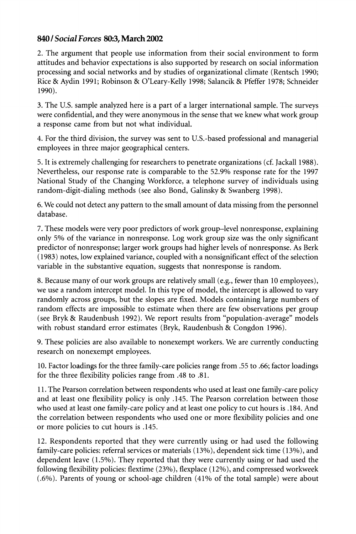# **840**1*Social Forces* **80.3, March 2002**

2. The argument that people use information from their social environment to form attitudes and behavior expectations is also supported by research on social information processing and social networks and by studies of organizational climate (Rentsch 1990; Rice & Aydin 1991; Robinson & O'Leary-Kelly 1998; Salancik & Pfeffer 1978; Schneider 1990).

3. The U.S. sample analyzed here is a part of a larger international sample. The surveys were confidential, and they were anonymous in the sense that we knew what work group a response came from but not what individual.

4. For the third division, the survey was sent to US.-based professional and managerial employees in three major geographical centers.

5. It is extremely challenging for researchers to penetrate organizations (cf. Jackal1 1988). Nevertheless, our response rate is comparable to the 52.9% response rate for the 1997 National Study of the Changing Workforce, a telephone survey of individuals using random-digit-dialing methods (see also Bond, Galinsky & Swanberg 1998).

6. We could not detect any pattern to the small amount of data missing from the personnel database.

7. These models were very poor predictors of work group-level nonresponse, explaining only 5% of the variance in nonresponse. Log work group size was the only significant predictor of nonresponse; larger work groups had higher levels of nonresponse. As Berk (1983) notes, low explained variance, coupled with a nonsignificant effect of the selection variable in the substantive equation, suggests that nonresponse is random.

8. Because many of our work groups are relatively small (e.g., fewer than 10 employees), we use a random intercept model. In this type of model, the intercept is allowed to vary randomly across groups, but the slopes are fixed. Models containing large numbers of random effects are impossible to estimate when there are few observations per group (see Bryk & Raudenbush 1992). We report results from "population-average" models with robust standard error estimates (Bryk, Raudenbush & Congdon 1996).

9. These policies are also available to nonexempt workers. We are currently conducting research on nonexempt employees.

10. Factor loadings for the three family-care policies range from .55 to .66; factor loadings for the three flexibility policies range from .48 to 31.

11.The Pearson correlation between respondents who used at least one family-care policy and at least one flexibility policy is only .145. The Pearson correlation between those who used at least one family-care policy and at least one policy to cut hours is ,184. And the correlation between respondents who used one or more flexibility policies and one or more policies to cut hours is .145.

12. Respondents reported that they were currently using or had used the following family-care policies: referral services or materials (13%), dependent sick time (13%), and dependent leave (1.5%). They reported that they were currently using or had used the following flexibility policies: flextime (23%), flexplace (12%), and compressed workweek (.6%). Parents of young or school-age children (41% of the total sample) were about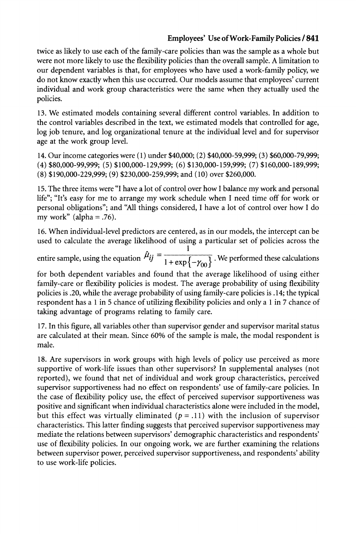twice as likely to use each of the family-care policies than was the sample as a whole but were not more likely to use the flexibility policies than the overall sample. A limitation to our dependent variables is that, for employees who have used a work-family policy, we do not know exactly when this use occurred. Our models assume that employees' current individual and work group characteristics were the same when they actually used the policies.

13. We estimated models containing several different control variables. In addition to the control variables described in the text, we estimated models that controlled for age, log job tenure, and log organizational tenure at the individual level and for supervisor age at the work group level.

14. Our income categories were (1) under \$40,000; (2) \$40,000-59,999; (3) \$60,000-79,999; (4) \$80,000-99,999; (5) \$100,000- 129,999; (6) \$130,000- 159,999; (7) \$160,000- 189,999; (8) \$190,000-229,999; (9) \$230,000-259,999; and (10) over \$260,000.

15. The three items were "I have a lot of control over how I balance my work and personal life"; "It's easy for me to arrange my work schedule when I need time off for work or personal obligations"; and "All things considered, I have a lot of control over how I do my work" (alpha  $= .76$ ).

16. When individual-level predictors are centered, as in our models, the intercept can be used to calculate the average likelihood of using a particular set of policies across the

1 entire sample, using the equation  $\mu_{ij} = \frac{1 + \exp\{-\gamma_{00}\}}{1 + \exp\{-\gamma_{00}\}}$ . We performed these calculations

for both dependent variables and found that the average likelihood of using either family-care or flexibility policies is modest. The average probability of using flexibility policies is .20, while the average probability of using family-care policies is .14; the typical respondent has a 1 in 5 chance of utilizing flexibility policies and only a 1 in 7 chance of taking advantage of programs relating to family care.

17. In this figure, all variables other than supervisor gender and supervisor marital status are calculated at their mean. Since 60% of the sample is male, the modal respondent is male.

18. Are supervisors in work groups with high levels of policy use perceived as more supportive of work-life issues than other supervisors? In supplemental analyses (not reported), we found that net of individual and work group characteristics, perceived supervisor supportiveness had no effect on respondents' use of family-care policies. In the case of flexibility policy use, the effect of perceived supervisor supportiveness was positive and significant when individual characteristics alone were included in the model, but this effect was virtually eliminated ( $p = .11$ ) with the inclusion of supervisor characteristics. This latter finding suggests that perceived supervisor supportiveness may mediate the relations between supervisors' demographic characteristics and respondents' use of flexibility policies. In our ongoing work, we are further examining the relations between supervisor power, perceived supervisor supportiveness, and respondents' ability to use work-life policies.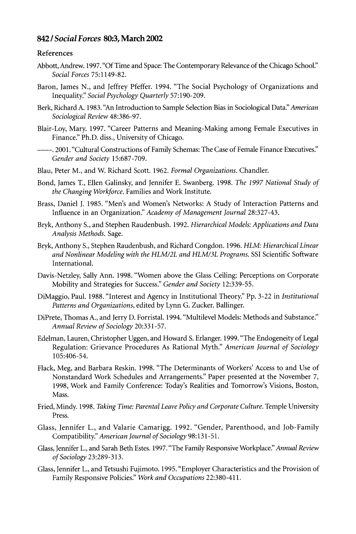### **842**1*Social Forces* **80:3, March2002**

#### References

- Abbott, Andrew. 1997. "Of Time and Space: The Contemporary Relevance of the Chicago School." *Social Forces* 75:1149-82.
- Baron, James N., and Jeffrey Pfeffer. 1994. "The Social Psychology of Organizations and Inequality." *Social Psychology Quarterly* 57:190-209.
- Berk, Richard A. 1983."An Introduction to Sample Selection Bias in Sociological Data." *American Sociological Review* 48:386-97.
- Blair-Loy, Mary. 1997. "Career Patterns and Meaning-Making among Female Executives in Finance." Ph.D. diss., University of Chicago.
- ----. 2001. "Cultural Constructions of Family Schemas: The Case of Female Finance Executives." *Gender and Society* 15:687-709.
- Blau, Peter M., and W. Richard Scott. 1962. *Formal Organizations.* Chandler.
- Bond, James T., Ellen Galinsky, and Jennifer E. Swanberg. 1998. *The* 1997 *National Study of the Changing Workforce.* Families and Work Institute.
- Brass, Daniel J. 1985. "Men's and Women's Networks: A Study of Interaction Patterns and Influence in an Organization." *Academy of Management Journal* 28:327-43.
- Bryk, Anthony S., and Stephen Raudenbush. 1992. *Hierarchical Models: Applications and Data Analysis Methods.* Sage.
- Bryk, Anthony S., Stephen Raudenbush, and Richard Congdon. 1996. *HLM: Hierarchical Linear and Nonlinear Modeling with the HLM/2L and HLM/3L Programs.* SSI Scientific Software International.
- Davis-Netzley, Sally Ann. 1998. "Women above the Glass Ceiling: Perceptions on Corporate Mobility and Strategies for Success." *Gender and Society* 12:339-55.
- DiMaggio, Paul. 1988. "Interest and Agency in Institutional Theory." Pp. 3-22 in *Institutional Patterns and Organizations,* edited by Lynn G. Zucker. Ballinger.
- DiPrete, Thomas **A,,**and Jerry D. Forristal. 1994. "Multilevel Models: Methods and Substance." *Annual Review of Sociology* 20:331-57.
- Edelman, Lauren, Christopher Uggen, and Howard S. Erlanger. 1999. "The Endogeneity of Legal Regulation: Grievance Procedures As Rational Myth." *American Journal of Sociology*  105:406-54.
- Flack, Meg, and Barbara Reskin. 1998. "The Determinants of Workers' Access to and Use of Nonstandard Work Schedules and Arrangements." Paper presented at the November 7, 1998, Work and Family Conference: Today's Realities and Tomorrow's Visions, Boston, Mass.
- Fried, Mindy. 1998. *Taking Time: Parental Leave Policy and Corporate Culture.* Temple University Press.
- Glass, Jennifer L., and Valarie Camarigg. 1992. "Gender, Parenthood, and Job-Family Compatibility." American Journal of Sociology 98:131-51.
- Glass, Jennifer L., and Sarah Beth Estes. 1997. "The Family Responsive Workplace." *Annual Review ofSociology* 23:289-3 13.
- Glass, Jennifer L., and Tetsushi Fujimoto. 1995. "Employer Characteristics and the Provision of Family Responsive Policies." *Work and Occupations* 22:380-411.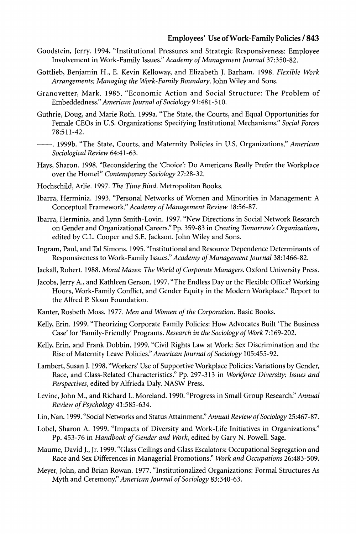- Goodstein, Jerry. 1994. "Institutional Pressures and Strategic Responsiveness: Employee Involvement in Work-Family Issues." *Academy of Management Journal* 37:350-82.
- Gottlieb, Benjamin H., E. Kevin Kelloway, and Elizabeth J. Barham. 1998. *Flexible Work Arrangements: Managing the Work-Family Boundary.* John Wiley and Sons.
- Granovetter, Mark. 1985. "Economic Action and Social Structure: The Problem of Embeddedness." *American Journal of Sociology* 9 1:48 1-510.
- Guthrie, Doug, and Marie Roth. 1999a. "The State, the Courts, and Equal Opportunities for Female CEOs in U.S. Organizations: Specifying Institutional Mechanisms." *Social Forces*  78:511-42.
- -. 1999b. "The State, Courts, and Maternity Policies in U.S. Organizations." *American Sociological Review* 64:41-63.
- Hays, Sharon. 1998. "Reconsidering the 'Choice': Do Americans Really Prefer the Workplace over the Home?" *Contemporary Sociology* 27:28-32.
- Hochschild, Arlie. 1997. *The Time Bind.* Metropolitan Books.
- Ibarra, Herminia. 1993. "Personal Networks of Women and Minorities in Management: A Conceptual Framework." *Academy of Management Review* 18:56-87.
- Ibarra, Herminia, and Lynn Smith-Lovin. 1997. "New Directions in Social Network Research on Gender and Organizational Careers." Pp. 359-83 in *Creating Tomorrow's Organizations,*  edited by C.L. Cooper and S.E. Jackson. John Wiley and Sons.
- Ingram, Paul, and Tal Simons. 1995. "Institutional and Resource Dependence Determinants of Responsiveness to Work-Family Issues." *Academy of Management Journal* 38: 1466-82.
- Jackall, Robert. 1988. *Moral Mazes: The World of Corporate Managers.* Oxford University Press.
- Jacobs, Jerry A., and Kathleen Gerson. 1997. "The Endless Day or the Flexible Office? Working Hours, Work-Family Conflict, and Gender Equity in the Modern Workplace." Report to the Alfred P. Sloan Foundation.
- Kanter, Rosbeth Moss. 1977. *Men and Women of the Corporation.* Basic Books.
- Kelly, Erin. 1999. "Theorizing Corporate Family Policies: How Advocates Built 'The Business Case' for 'Family-Friendly' Programs. *Research in the Sociology of Work* 7:169-202.
- Kelly, Erin, and Frank Dobbin. 1999. "Civil Rights Law at Work: Sex Discrimination and the Rise of Maternity Leave Policies." *American Journal of Sociology* 105:455-92.
- Lambert, Susan J. 1998. "Workers' Use of Supportive Workplace Policies: Variations by Gender, Race, and Class-Related Characteristics." Pp. 297-313 in *Workforce Diversity: Issues and Perspectives,* edited by Alfrieda Daly. NASW Press.
- Levine, John M., and Richard L. Moreland. 1990. "Progress in Small Group Research." *Annual Review of Psychology* 41:585-634.
- Lin, Nan. 1999. "Social Networks and Status Attainment." *Annual Review of Sociology* 25:467-87.
- Lobel, Sharon A. 1999. "Impacts of Diversity and Work-Life Initiatives in Organizations." Pp. 453-76 in *Handbook of Gender and Work,* edited by Gary N. Powell. Sage.
- Maume, David J., Jr. 1999. "Glass Ceilings and Glass Escalators: Occupational Segregation and Race and Sex Differences in Managerial Promotions." *Work and Occupations* 26:483-509.
- Meyer, John, and Brian Rowan. 1977. "Institutionalized Organizations: Formal Structures As Myth and Ceremony." *American Journal of Sociology* 83:340-63.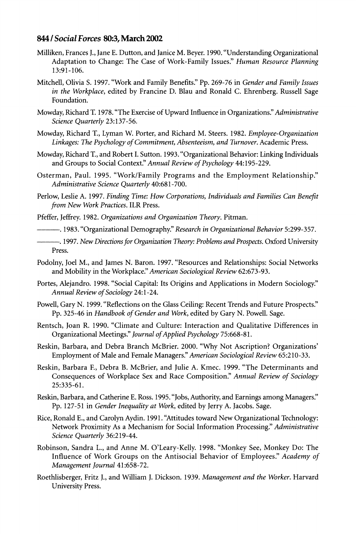#### **844**1**Social Forces 80:3, March 2002**

- Milliken, Frances J., Jane E. Dutton, and Janice M. Beyer. 1990. "Understanding Organizational Adaptation to Change: The Case of Work-Family Issues." *Human Resource Planning*  13:91-106.
- Mitchell, Olivia S. 1997. "Work and Family Benefits." Pp. 269-76 in *Gender and Family Issues in the Workplace,* edited by Francine D. Blau and Ronald C. Ehrenberg. Russell Sage Foundation.
- Mowday, Richard T. 1978. "The Exercise of Upward Influence in Organizations." *Administrative Science Quarterly* 23:137-56.
- Mowday, Richard T., Lyman W. Porter, and Richard M. Steers. 1982. *Employee-Organization Linkages: The Psychology of Commitment, Absenteeism, and Turnover.* Academic Press.
- Mowday, Richard T., and Robert I. Sutton. 1993. "Organizational Behavior: Linking Individuals and Groups to Social Context." *Annual Review of Psychology* 44:195-229.
- Osterman, Paul. 1995. "Work/Family Programs and the Employment Relationship." *Administrative Science Quarterly* 40:681-700.
- Perlow, Leslie A. 1997. *Finding Time: How Corporations, Individuals and Families Can Benefit from New Work Practices.* ILR Press.
- Pfeffer, Jeffrey. 1982. *Organizations and Organization Theory.* Pitman.
- . 1983. "Organizational Demography." *Research in Organizational Behavior* 5:299-357.
- . 1997.*New Directions for Organization Theory: Problems and Prospects.* Oxford University Press.
- Podolny, Joel M., and James N. Baron. 1997. "Resources and Relationships: Social Networks and Mobility in the Workplace." *American Sociological Review* 62:673-93.
- Portes, Alejandro. 1998. "Social Capital: Its Origins and Applications in Modern Sociology." *Annual Review of Sociology* 24:l-24.
- Powell, Gary N. 1999. "Reflections on the Glass Ceiling: Recent Trends and Future Prospects." Pp. 325-46 in *Handbook of Gender and Work,* edited by Gary N. Powell. Sage.
- Rentsch, Joan R. 1990. "Climate and Culture: Interaction and Qualitative Differences in Organizational Meetings." *Journal ofApplied Psychology* 75:668-81.
- Reskin, Barbara, and Debra Branch McBrier. 2000. "Why Not Ascription? Organizations' Employment of Male and Female Managers." *American Sociological Review* 65:210-33.
- Reskin, Barbara F., Debra B. McBrier, and Julie A. Kmec. 1999. "The Determinants and Consequences of Workplace Sex and Race Composition." *Annual Review of Sociology*  25:335-61.
- Reskin, Barbara, and Catherine E. Ross. 1995. "Jobs, Authority, and Earnings among Managers." Pp. 127-51 in *Gender Inequality at Work,* edited by Jerry A. Jacobs. Sage.
- Rice, Ronald E., and Carolyn Aydin. 1991. "Attitudes toward New Organizational Technology: Network Proximity As a Mechanism for Social Information Processing." *Administrative Science Quarterly* 36:2 19-44.
- Robinson, Sandra L., and Anne M. O'Leary-Kelly. 1998. "Monkey See, Monkey Do: The Influence of Work Groups on the Antisocial Behavior of Employees." *Academy of Management Journal* 41:658-72.
- Roethlisberger, Fritz J., and William J. Dickson. 1939. *Management and the Worker.* Harvard University Press.